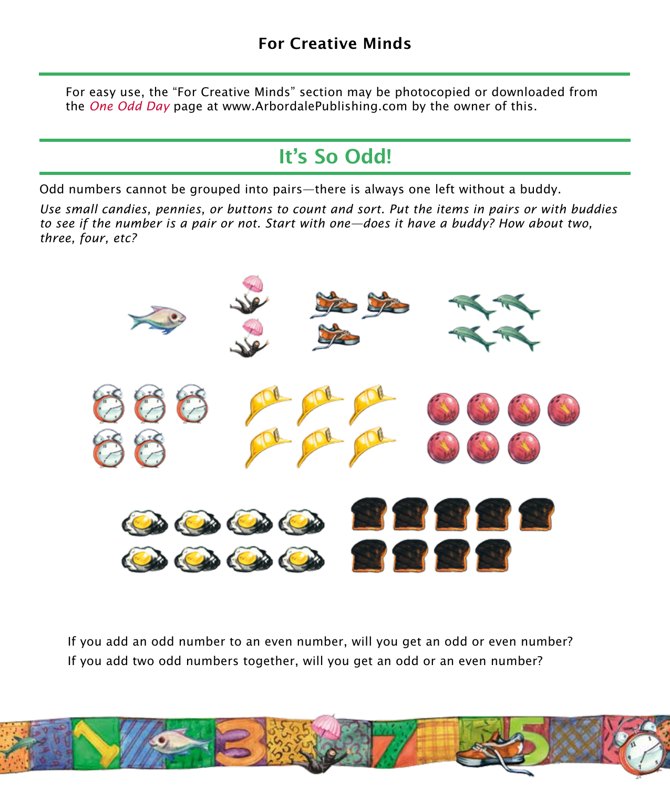For easy use, the "For Creative Minds" section may be photocopied or downloaded from the *One Odd Day* page at www.ArbordalePublishing.com by the owner of this.

## It's So Odd!

Odd numbers cannot be grouped into pairs—there is always one left without a buddy.

*Use small candies, pennies, or buttons to count and sort. Put the items in pairs or with buddies to see if the number is a pair or not. Start with one—does it have a buddy? How about two, three, four, etc?*



If you add an odd number to an even number, will you get an odd or even number? If you add two odd numbers together, will you get an odd or an even number?

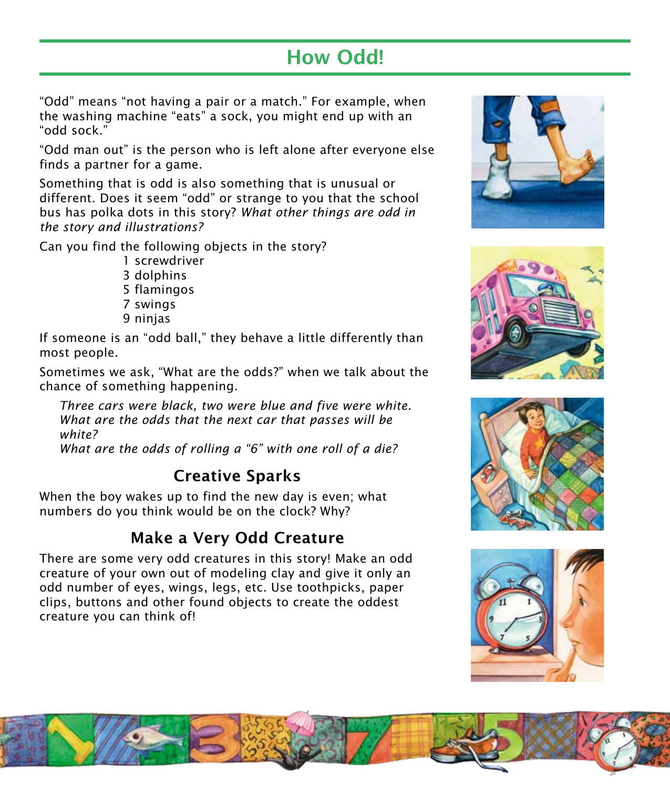## How Odd!

"Odd" means "not having a pair or a match." For example, when the washing machine "eats" a sock, you might end up with an "odd sock."

"Odd man out" is the person who is left alone after everyone else finds a partner for a game.

Something that is odd is also something that is unusual or different. Does it seem "odd" or strange to you that the school bus has polka dots in this story? *What other things are odd in the story and illustrations?*

Can you find the following objects in the story?

1 screwdriver 3 dolphins 5 flamingos 7 swings 9 ninjas

If someone is an "odd ball," they behave a little differently than most people.

Sometimes we ask, "What are the odds?" when we talk about the chance of something happening.

*Three cars were black, two were blue and five were white. What are the odds that the next car that passes will be white?* 

*What are the odds of rolling a "6" with one roll of a die?*

## Creative Sparks

When the boy wakes up to find the new day is even; what numbers do you think would be on the clock? Why?

## Make a Very Odd Creature

There are some very odd creatures in this story! Make an odd creature of your own out of modeling clay and give it only an odd number of eyes, wings, legs, etc. Use toothpicks, paper clips, buttons and other found objects to create the oddest creature you can think of!